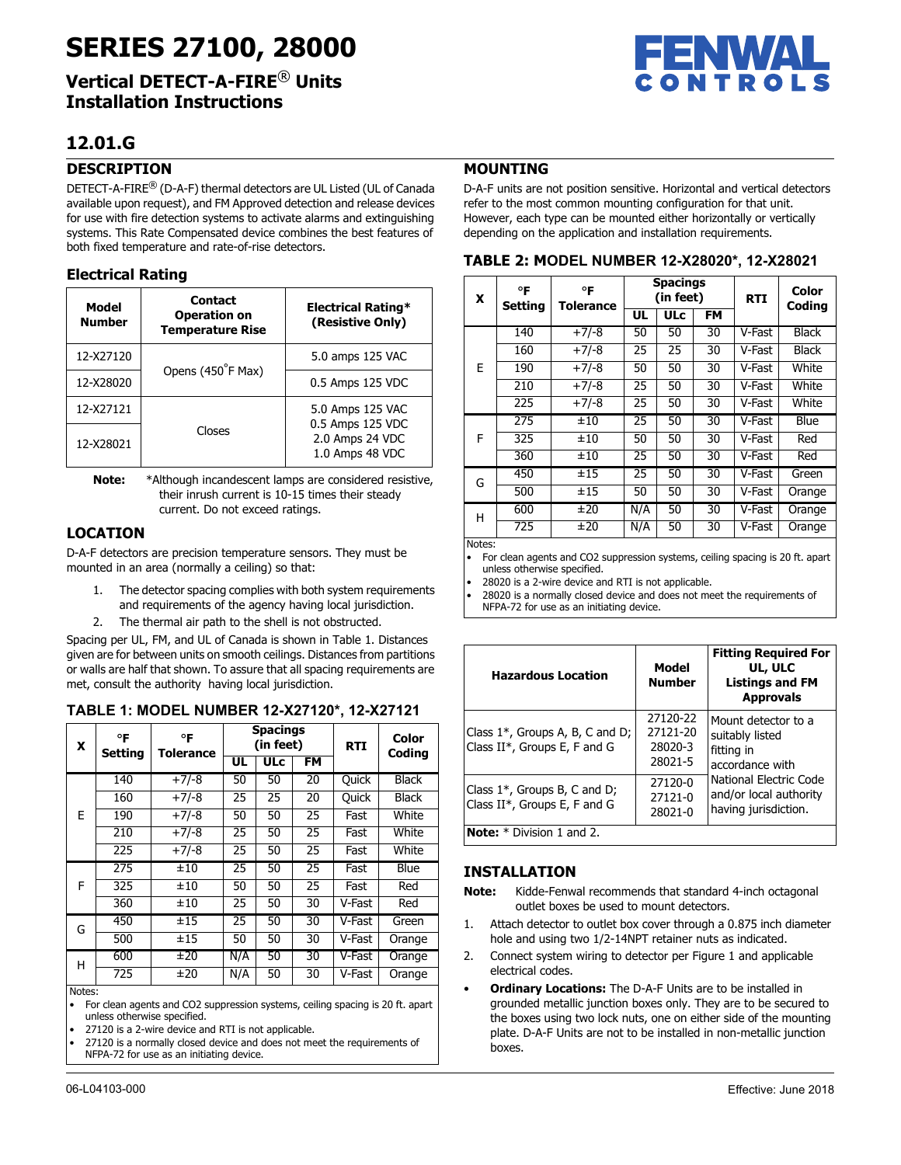# **SERIES 27100, 28000**

**Vertical DETECT-A-FIRE**® **Units Installation Instructions**

## **12.01.G**

## **DESCRIPTION**

DETECT-A-FIRE® (D-A-F) thermal detectors are UL Listed (UL of Canada available upon request), and FM Approved detection and release devices for use with fire detection systems to activate alarms and extinguishing systems. This Rate Compensated device combines the best features of both fixed temperature and rate-of-rise detectors.

## **Electrical Rating**

| Model<br><b>Number</b> | <b>Contact</b><br><b>Operation on</b><br><b>Temperature Rise</b> | <b>Electrical Rating*</b><br>(Resistive Only)          |
|------------------------|------------------------------------------------------------------|--------------------------------------------------------|
| 12-X27120              | Opens (450°F Max)                                                | 5.0 amps 125 VAC                                       |
| 12-X28020              |                                                                  | 0.5 Amps 125 VDC                                       |
| 12-X27121              |                                                                  | 5.0 Amps 125 VAC                                       |
| Closes<br>12-X28021    |                                                                  | 0.5 Amps 125 VDC<br>2.0 Amps 24 VDC<br>1.0 Amps 48 VDC |

**Note:** \*Although incandescent lamps are considered resistive, their inrush current is 10-15 times their steady current. Do not exceed ratings.

## **LOCATION**

D-A-F detectors are precision temperature sensors. They must be mounted in an area (normally a ceiling) so that:

- 1. The detector spacing complies with both system requirements and requirements of the agency having local jurisdiction.
- 2. The thermal air path to the shell is not obstructed.

Spacing per UL, FM, and UL of Canada is shown in Table 1. Distances given are for between units on smooth ceilings. Distances from partitions or walls are half that shown. To assure that all spacing requirements are met, consult the authority having local jurisdiction.

#### **TABLE 1: MODEL NUMBER 12-X27120\*, 12-X27121**

| x      | °F<br><b>Setting</b> | °F<br>Tolerance | <b>Spacings</b><br>(in feet) |            |                 | <b>RTI</b>   | Color<br>Coding |
|--------|----------------------|-----------------|------------------------------|------------|-----------------|--------------|-----------------|
|        |                      |                 | <b>UL</b>                    | <b>ULc</b> | FM              |              |                 |
|        | 140                  | $+7/-8$         | 50                           | 50         | $\overline{20}$ | <b>Quick</b> | <b>Black</b>    |
|        | 160                  | $+7/-8$         | 25                           | 25         | 20              | <b>Quick</b> | <b>Black</b>    |
| F      | 190                  | $+7/-8$         | 50                           | 50         | 25              | Fast         | White           |
|        | 210                  | $+7/-8$         | 25                           | 50         | 25              | Fast         | White           |
|        | 225                  | $+7/-8$         | 25                           | 50         | 25              | Fast         | White           |
|        | 275                  | ±10             | $\overline{25}$              | 50         | $\overline{25}$ | Fast         | <b>Blue</b>     |
| F      | 325                  | ±10             | 50                           | 50         | 25              | Fast         | Red             |
|        | 360                  | ±10             | 25                           | 50         | 30              | V-Fast       | Red             |
| G      | 450                  | ±15             | $\overline{25}$              | 50         | $\overline{30}$ | V-Fast       | Green           |
|        | 500                  | ±15             | 50                           | 50         | 30              | V-Fast       | Orange          |
| н      | 600                  | ±20             | N/A                          | 50         | 30              | V-Fast       | Orange          |
|        | 725                  | ±20             | N/A                          | 50         | 30              | V-Fast       | Orange          |
| Notes: |                      |                 |                              |            |                 |              |                 |

• For clean agents and CO2 suppression systems, ceiling spacing is 20 ft. apart unless otherwise specified.

• 27120 is a 2-wire device and RTI is not applicable.

27120 is a normally closed device and does not meet the requirements of NFPA-72 for use as an initiating device.



## **MOUNTING**

D-A-F units are not position sensitive. Horizontal and vertical detectors refer to the most common mounting configuration for that unit. However, each type can be mounted either horizontally or vertically depending on the application and installation requirements.

|  |  |  | TABLE 2: MODEL NUMBER 12-X28020*, 12-X28021 |
|--|--|--|---------------------------------------------|
|  |  |  |                                             |

| X | °F<br>Setting | °F<br>Tolerance | <b>Spacings</b><br>(in feet) |            |    | <b>RTI</b> | Color<br>Coding |
|---|---------------|-----------------|------------------------------|------------|----|------------|-----------------|
|   |               |                 | UL                           | <b>ULc</b> | FM |            |                 |
|   | 140           | $+7/-8$         | 50                           | 50         | 30 | V-Fast     | <b>Black</b>    |
|   | 160           | $+7/-8$         | 25                           | 25         | 30 | V-Fast     | Black           |
| E | 190           | $+7/-8$         | 50                           | 50         | 30 | V-Fast     | White           |
|   | 210           | $+7/-8$         | 25                           | 50         | 30 | V-Fast     | White           |
|   | 225           | $+7/-8$         | 25                           | 50         | 30 | V-Fast     | White           |
|   | 275           | ±10             | 25                           | 50         | 30 | V-Fast     | Blue            |
| F | 325           | ±10             | 50                           | 50         | 30 | V-Fast     | Red             |
|   | 360           | ±10             | 25                           | 50         | 30 | V-Fast     | Red             |
| G | 450           | ±15             | 25                           | 50         | 30 | V-Fast     | Green           |
|   | 500           | ±15             | 50                           | 50         | 30 | V-Fast     | Orange          |
| н | 600           | ±20             | N/A                          | 50         | 30 | V-Fast     | Orange          |
|   | 725           | ±20             | N/A                          | 50         | 30 | V-Fast     | Orange          |

Notes:

• For clean agents and CO2 suppression systems, ceiling spacing is 20 ft. apart unless otherwise specified.

• 28020 is a 2-wire device and RTI is not applicable.

• 28020 is a normally closed device and does not meet the requirements of

NFPA-72 for use as an initiating device.

| <b>Hazardous Location</b>                                               | Model<br><b>Number</b>                     | <b>Fitting Required For</b><br>UL, ULC<br><b>Listings and FM</b><br><b>Approvals</b> |
|-------------------------------------------------------------------------|--------------------------------------------|--------------------------------------------------------------------------------------|
| Class $1^*$ , Groups A, B, C and D;<br>Class $II^*$ , Groups E, F and G | 27120-22<br>27121-20<br>28020-3<br>28021-5 | Mount detector to a<br>suitably listed<br>fitting in<br>accordance with              |
| Class $1^*$ , Groups B, C and D;<br>Class $II^*$ , Groups E, F and G    | 27120-0<br>27121-0<br>28021-0              | National Electric Code<br>and/or local authority<br>having jurisdiction.             |
| <b>Note:</b> $*$ Division 1 and 2.                                      |                                            |                                                                                      |

## **INSTALLATION**

- **Note:** Kidde-Fenwal recommends that standard 4-inch octagonal outlet boxes be used to mount detectors.
- 1. Attach detector to outlet box cover through a 0.875 inch diameter hole and using two 1/2-14NPT retainer nuts as indicated.
- 2. Connect system wiring to detector per Figure 1 and applicable electrical codes.
- **Ordinary Locations:** The D-A-F Units are to be installed in grounded metallic junction boxes only. They are to be secured to the boxes using two lock nuts, one on either side of the mounting plate. D-A-F Units are not to be installed in non-metallic junction boxes.